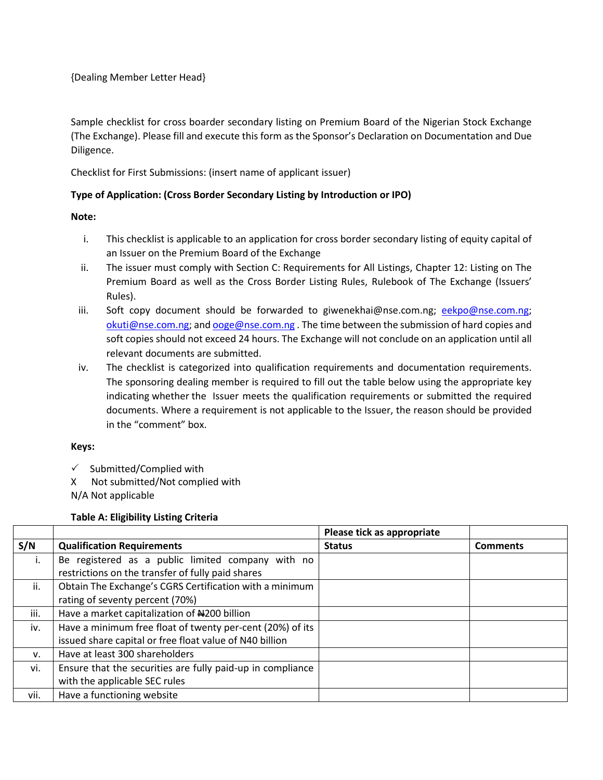#### {Dealing Member Letter Head}

Sample checklist for cross boarder secondary listing on Premium Board of the Nigerian Stock Exchange (The Exchange). Please fill and execute this form as the Sponsor's Declaration on Documentation and Due Diligence.

Checklist for First Submissions: (insert name of applicant issuer)

## **Type of Application: (Cross Border Secondary Listing by Introduction or IPO)**

### **Note:**

- i. This checklist is applicable to an application for cross border secondary listing of equity capital of an Issuer on the Premium Board of the Exchange
- ii. The issuer must comply with Section C: Requirements for All Listings, Chapter 12: Listing on The Premium Board as well as the Cross Border Listing Rules, Rulebook of The Exchange (Issuers' Rules).
- iii. Soft copy document should be forwarded to giwenekhai@nse.com.ng; [eekpo@nse.com.ng;](mailto:eekpo@nse.com.ng) [okuti@nse.com.ng;](mailto:okuti@nse.com.ng) an[d ooge@nse.com.ng](mailto:ooge@nse.com.ng) . The time between the submission of hard copies and soft copies should not exceed 24 hours. The Exchange will not conclude on an application until all relevant documents are submitted.
- iv. The checklist is categorized into qualification requirements and documentation requirements. The sponsoring dealing member is required to fill out the table below using the appropriate key indicating whether the Issuer meets the qualification requirements or submitted the required documents. Where a requirement is not applicable to the Issuer, the reason should be provided in the "comment" box.

#### **Keys:**

- $\checkmark$  Submitted/Complied with
- X Not submitted/Not complied with

N/A Not applicable

#### **Table A: Eligibility Listing Criteria**

|             |                                                            | Please tick as appropriate |                 |
|-------------|------------------------------------------------------------|----------------------------|-----------------|
| S/N         | <b>Qualification Requirements</b>                          | <b>Status</b>              | <b>Comments</b> |
| i.          | Be registered as a public limited company with no          |                            |                 |
|             | restrictions on the transfer of fully paid shares          |                            |                 |
| ii.         | Obtain The Exchange's CGRS Certification with a minimum    |                            |                 |
|             | rating of seventy percent (70%)                            |                            |                 |
| iii.        | Have a market capitalization of #200 billion               |                            |                 |
| iv.         | Have a minimum free float of twenty per-cent (20%) of its  |                            |                 |
|             | issued share capital or free float value of N40 billion    |                            |                 |
| $V_{\cdot}$ | Have at least 300 shareholders                             |                            |                 |
| vi.         | Ensure that the securities are fully paid-up in compliance |                            |                 |
|             | with the applicable SEC rules                              |                            |                 |
| vii.        | Have a functioning website                                 |                            |                 |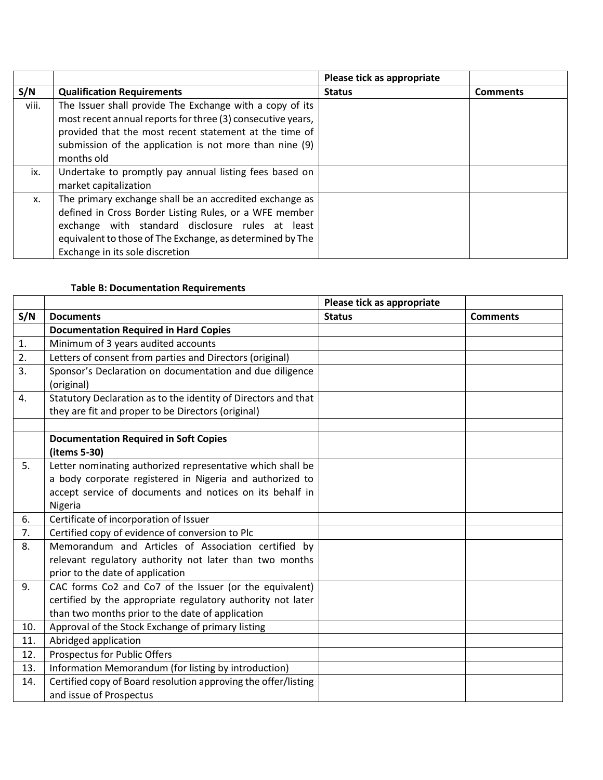|       |                                                                                                                                                                                                                                                                       | Please tick as appropriate |                 |
|-------|-----------------------------------------------------------------------------------------------------------------------------------------------------------------------------------------------------------------------------------------------------------------------|----------------------------|-----------------|
| S/N   | <b>Qualification Requirements</b>                                                                                                                                                                                                                                     | <b>Status</b>              | <b>Comments</b> |
| viii. | The Issuer shall provide The Exchange with a copy of its<br>most recent annual reports for three (3) consecutive years,<br>provided that the most recent statement at the time of<br>submission of the application is not more than nine (9)<br>months old            |                            |                 |
| ix.   | Undertake to promptly pay annual listing fees based on<br>market capitalization                                                                                                                                                                                       |                            |                 |
| Х.    | The primary exchange shall be an accredited exchange as<br>defined in Cross Border Listing Rules, or a WFE member<br>exchange with standard disclosure rules at least<br>equivalent to those of The Exchange, as determined by The<br>Exchange in its sole discretion |                            |                 |

# **Table B: Documentation Requirements**

|     |                                                                                           | Please tick as appropriate |                 |
|-----|-------------------------------------------------------------------------------------------|----------------------------|-----------------|
| S/N | <b>Documents</b>                                                                          | <b>Status</b>              | <b>Comments</b> |
|     | <b>Documentation Required in Hard Copies</b>                                              |                            |                 |
| 1.  | Minimum of 3 years audited accounts                                                       |                            |                 |
| 2.  | Letters of consent from parties and Directors (original)                                  |                            |                 |
| 3.  | Sponsor's Declaration on documentation and due diligence<br>(original)                    |                            |                 |
| 4.  | Statutory Declaration as to the identity of Directors and that                            |                            |                 |
|     | they are fit and proper to be Directors (original)                                        |                            |                 |
|     |                                                                                           |                            |                 |
|     | <b>Documentation Required in Soft Copies</b><br>(items 5-30)                              |                            |                 |
| 5.  | Letter nominating authorized representative which shall be                                |                            |                 |
|     | a body corporate registered in Nigeria and authorized to                                  |                            |                 |
|     | accept service of documents and notices on its behalf in                                  |                            |                 |
|     | Nigeria                                                                                   |                            |                 |
| 6.  | Certificate of incorporation of Issuer                                                    |                            |                 |
| 7.  | Certified copy of evidence of conversion to Plc                                           |                            |                 |
| 8.  | Memorandum and Articles of Association certified by                                       |                            |                 |
|     | relevant regulatory authority not later than two months                                   |                            |                 |
|     | prior to the date of application                                                          |                            |                 |
| 9.  | CAC forms Co2 and Co7 of the Issuer (or the equivalent)                                   |                            |                 |
|     | certified by the appropriate regulatory authority not later                               |                            |                 |
|     | than two months prior to the date of application                                          |                            |                 |
| 10. | Approval of the Stock Exchange of primary listing                                         |                            |                 |
| 11. | Abridged application                                                                      |                            |                 |
| 12. | Prospectus for Public Offers                                                              |                            |                 |
| 13. | Information Memorandum (for listing by introduction)                                      |                            |                 |
| 14. | Certified copy of Board resolution approving the offer/listing<br>and issue of Prospectus |                            |                 |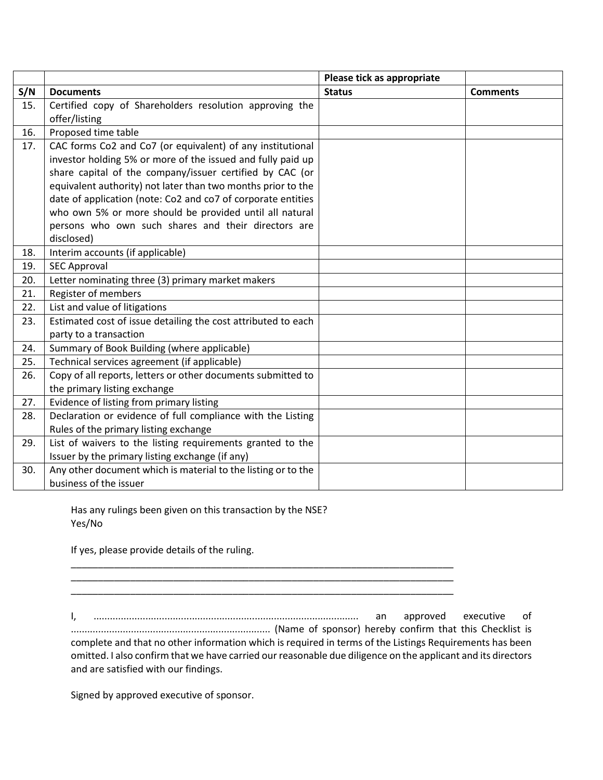|     |                                                               | Please tick as appropriate |                 |
|-----|---------------------------------------------------------------|----------------------------|-----------------|
| S/N | <b>Documents</b>                                              | <b>Status</b>              | <b>Comments</b> |
| 15. | Certified copy of Shareholders resolution approving the       |                            |                 |
|     | offer/listing                                                 |                            |                 |
| 16. | Proposed time table                                           |                            |                 |
| 17. | CAC forms Co2 and Co7 (or equivalent) of any institutional    |                            |                 |
|     | investor holding 5% or more of the issued and fully paid up   |                            |                 |
|     | share capital of the company/issuer certified by CAC (or      |                            |                 |
|     | equivalent authority) not later than two months prior to the  |                            |                 |
|     | date of application (note: Co2 and co7 of corporate entities  |                            |                 |
|     | who own 5% or more should be provided until all natural       |                            |                 |
|     | persons who own such shares and their directors are           |                            |                 |
|     | disclosed)                                                    |                            |                 |
| 18. | Interim accounts (if applicable)                              |                            |                 |
| 19. | <b>SEC Approval</b>                                           |                            |                 |
| 20. | Letter nominating three (3) primary market makers             |                            |                 |
| 21. | Register of members                                           |                            |                 |
| 22. | List and value of litigations                                 |                            |                 |
| 23. | Estimated cost of issue detailing the cost attributed to each |                            |                 |
|     | party to a transaction                                        |                            |                 |
| 24. | Summary of Book Building (where applicable)                   |                            |                 |
| 25. | Technical services agreement (if applicable)                  |                            |                 |
| 26. | Copy of all reports, letters or other documents submitted to  |                            |                 |
|     | the primary listing exchange                                  |                            |                 |
| 27. | Evidence of listing from primary listing                      |                            |                 |
| 28. | Declaration or evidence of full compliance with the Listing   |                            |                 |
|     | Rules of the primary listing exchange                         |                            |                 |
| 29. | List of waivers to the listing requirements granted to the    |                            |                 |
|     | Issuer by the primary listing exchange (if any)               |                            |                 |
| 30. | Any other document which is material to the listing or to the |                            |                 |
|     | business of the issuer                                        |                            |                 |

Has any rulings been given on this transaction by the NSE? Yes/No

\_\_\_\_\_\_\_\_\_\_\_\_\_\_\_\_\_\_\_\_\_\_\_\_\_\_\_\_\_\_\_\_\_\_\_\_\_\_\_\_\_\_\_\_\_\_\_\_\_\_\_\_\_\_\_\_\_\_\_\_\_\_\_\_\_\_\_\_\_\_\_

\_\_\_\_\_\_\_\_\_\_\_\_\_\_\_\_\_\_\_\_\_\_\_\_\_\_\_\_\_\_\_\_\_\_\_\_\_\_\_\_\_\_\_\_\_\_\_\_\_\_\_\_\_\_\_\_\_\_\_\_\_\_\_\_\_\_\_\_\_\_\_

If yes, please provide details of the ruling.

I, ................................................................................................. an approved executive of ......................................................................... (Name of sponsor) hereby confirm that this Checklist is complete and that no other information which is required in terms of the Listings Requirements has been omitted. I also confirm that we have carried our reasonable due diligence on the applicant and its directors and are satisfied with our findings.

\_\_\_\_\_\_\_\_\_\_\_\_\_\_\_\_\_\_\_\_\_\_\_\_\_\_\_\_\_\_\_\_\_\_\_\_\_\_\_\_\_\_\_\_\_\_\_\_\_\_\_\_\_\_\_\_\_\_\_\_\_\_\_\_\_\_\_\_\_\_\_

Signed by approved executive of sponsor.